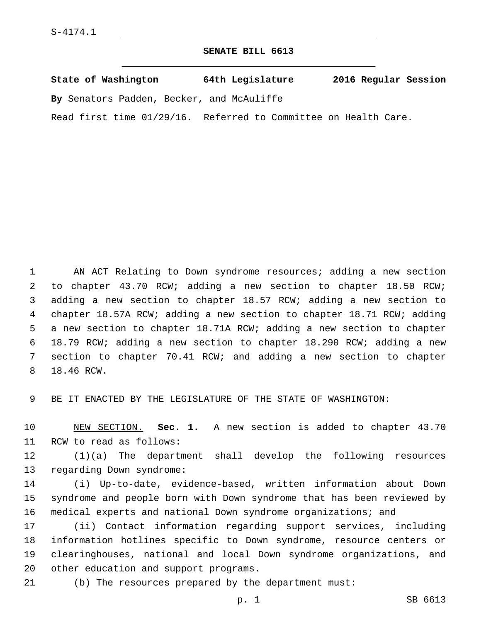## **SENATE BILL 6613**

| State of Washington |  |  |  | 64th Legislature                          | 2016 Regular Session |  |
|---------------------|--|--|--|-------------------------------------------|----------------------|--|
|                     |  |  |  | By Senators Padden, Becker, and McAuliffe |                      |  |

Read first time 01/29/16. Referred to Committee on Health Care.

 AN ACT Relating to Down syndrome resources; adding a new section to chapter 43.70 RCW; adding a new section to chapter 18.50 RCW; adding a new section to chapter 18.57 RCW; adding a new section to chapter 18.57A RCW; adding a new section to chapter 18.71 RCW; adding a new section to chapter 18.71A RCW; adding a new section to chapter 18.79 RCW; adding a new section to chapter 18.290 RCW; adding a new section to chapter 70.41 RCW; and adding a new section to chapter 8 18.46 RCW.

BE IT ENACTED BY THE LEGISLATURE OF THE STATE OF WASHINGTON:

 NEW SECTION. **Sec. 1.** A new section is added to chapter 43.70 11 RCW to read as follows:

 (1)(a) The department shall develop the following resources 13 regarding Down syndrome:

 (i) Up-to-date, evidence-based, written information about Down syndrome and people born with Down syndrome that has been reviewed by medical experts and national Down syndrome organizations; and

 (ii) Contact information regarding support services, including information hotlines specific to Down syndrome, resource centers or clearinghouses, national and local Down syndrome organizations, and 20 other education and support programs.

(b) The resources prepared by the department must:

p. 1 SB 6613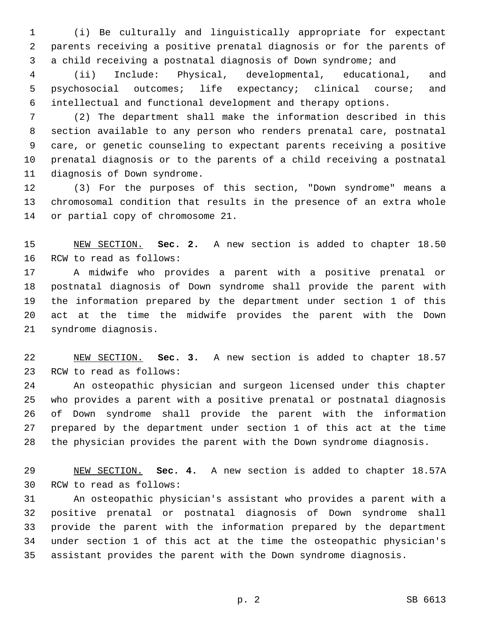(i) Be culturally and linguistically appropriate for expectant parents receiving a positive prenatal diagnosis or for the parents of a child receiving a postnatal diagnosis of Down syndrome; and

 (ii) Include: Physical, developmental, educational, and psychosocial outcomes; life expectancy; clinical course; and intellectual and functional development and therapy options.

 (2) The department shall make the information described in this section available to any person who renders prenatal care, postnatal care, or genetic counseling to expectant parents receiving a positive prenatal diagnosis or to the parents of a child receiving a postnatal 11 diagnosis of Down syndrome.

 (3) For the purposes of this section, "Down syndrome" means a chromosomal condition that results in the presence of an extra whole 14 or partial copy of chromosome 21.

 NEW SECTION. **Sec. 2.** A new section is added to chapter 18.50 16 RCW to read as follows:

 A midwife who provides a parent with a positive prenatal or postnatal diagnosis of Down syndrome shall provide the parent with the information prepared by the department under section 1 of this act at the time the midwife provides the parent with the Down 21 syndrome diagnosis.

 NEW SECTION. **Sec. 3.** A new section is added to chapter 18.57 23 RCW to read as follows:

 An osteopathic physician and surgeon licensed under this chapter who provides a parent with a positive prenatal or postnatal diagnosis of Down syndrome shall provide the parent with the information prepared by the department under section 1 of this act at the time the physician provides the parent with the Down syndrome diagnosis.

 NEW SECTION. **Sec. 4.** A new section is added to chapter 18.57A 30 RCW to read as follows:

 An osteopathic physician's assistant who provides a parent with a positive prenatal or postnatal diagnosis of Down syndrome shall provide the parent with the information prepared by the department under section 1 of this act at the time the osteopathic physician's assistant provides the parent with the Down syndrome diagnosis.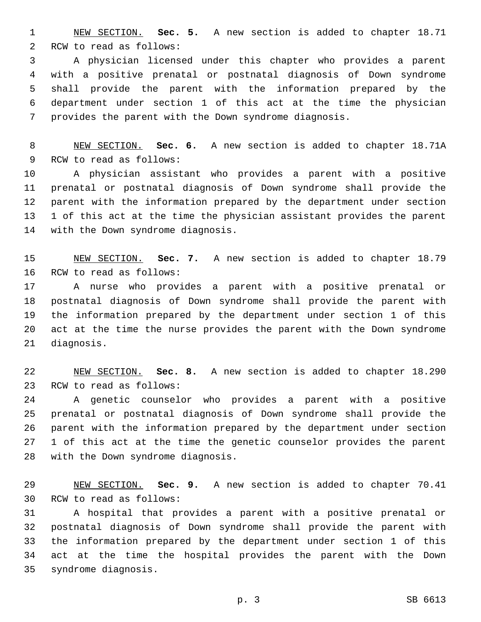NEW SECTION. **Sec. 5.** A new section is added to chapter 18.71 2 RCW to read as follows:

 A physician licensed under this chapter who provides a parent with a positive prenatal or postnatal diagnosis of Down syndrome shall provide the parent with the information prepared by the department under section 1 of this act at the time the physician provides the parent with the Down syndrome diagnosis.

 NEW SECTION. **Sec. 6.** A new section is added to chapter 18.71A 9 RCW to read as follows:

 A physician assistant who provides a parent with a positive prenatal or postnatal diagnosis of Down syndrome shall provide the parent with the information prepared by the department under section 1 of this act at the time the physician assistant provides the parent 14 with the Down syndrome diagnosis.

 NEW SECTION. **Sec. 7.** A new section is added to chapter 18.79 16 RCW to read as follows:

 A nurse who provides a parent with a positive prenatal or postnatal diagnosis of Down syndrome shall provide the parent with the information prepared by the department under section 1 of this act at the time the nurse provides the parent with the Down syndrome 21 diagnosis.

 NEW SECTION. **Sec. 8.** A new section is added to chapter 18.290 23 RCW to read as follows:

 A genetic counselor who provides a parent with a positive prenatal or postnatal diagnosis of Down syndrome shall provide the parent with the information prepared by the department under section 1 of this act at the time the genetic counselor provides the parent 28 with the Down syndrome diagnosis.

 NEW SECTION. **Sec. 9.** A new section is added to chapter 70.41 30 RCW to read as follows:

 A hospital that provides a parent with a positive prenatal or postnatal diagnosis of Down syndrome shall provide the parent with the information prepared by the department under section 1 of this act at the time the hospital provides the parent with the Down syndrome diagnosis.35